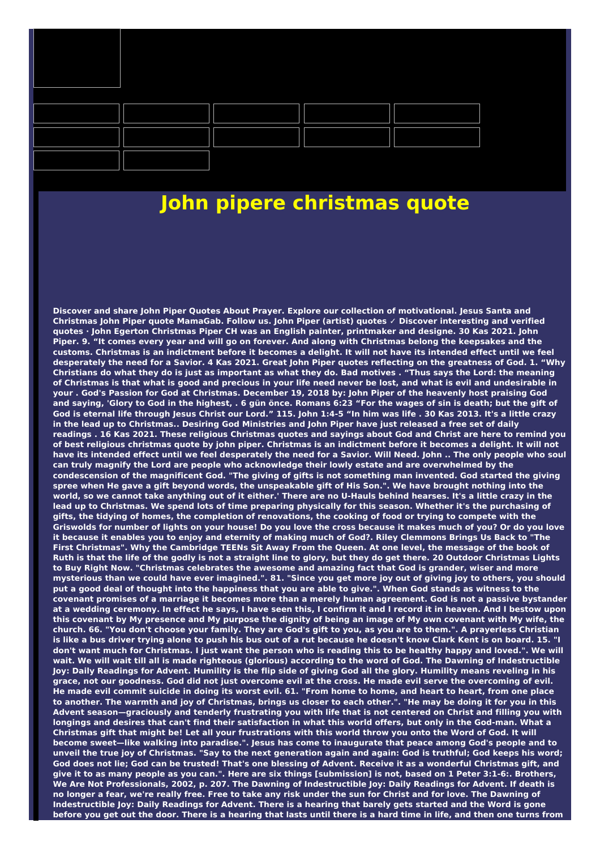

## **John pipere christmas quote**

**Discover and share John Piper Quotes About Prayer. Explore our collection of motivational. Jesus Santa and Christmas John Piper quote MamaGab. Follow us. John Piper (artist) quotes ✓ Discover interesting and verified** quotes · John Egerton Christmas Piper CH was an English painter, printmaker and designe. 30 Kas 2021. John Piper. 9. "It comes every year and will go on forever. And along with Christmas belong the keepsakes and the customs. Christmas is an indictment before it becomes a delight. It will not have its intended effect until we feel desperately the need for a Savior. 4 Kas 2021. Great John Piper quotes reflecting on the greatness of God. 1. "Why Christians do what they do is just as important as what they do. Bad motives . "Thus says the Lord: the meaning of Christmas is that what is good and precious in your life need never be lost, and what is evil and undesirable in your. God's Passion for God at Christmas. December 19, 2018 by: John Piper of the heavenly host praising God and saying, 'Glory to God in the highest, . 6 gün önce. Romans 6:23 "For the wages of sin is death; but the gift of God is eternal life through Jesus Christ our Lord." 115. John 1:4-5 "In him was life . 30 Kas 2013. It's a little crazy in the lead up to Christmas.. Desiring God Ministries and John Piper have just released a free set of daily readings . 16 Kas 2021. These religious Christmas quotes and sayings about God and Christ are here to remind you of best religious christmas quote by john piper. Christmas is an indictment before it becomes a delight. It will not have its intended effect until we feel desperately the need for a Savior. Will Need. John .. The only people who soul **can truly magnify the Lord are people who acknowledge their lowly estate and are overwhelmed by the** condescension of the magnificent God. "The giving of gifts is not something man invented. God started the giving spree when He gave a gift beyond words, the unspeakable gift of His Son.". We have brought nothing into the world, so we cannot take anything out of it either.' There are no U-Hauls behind hearses. It's a little crazy in the lead up to Christmas. We spend lots of time preparing physically for this season. Whether it's the purchasing of gifts, the tidying of homes, the completion of renovations, the cooking of food or trying to compete with the Griswolds for number of lights on your house! Do you love the cross because it makes much of you? Or do you love it because it enables you to enjoy and eternity of making much of God?. Riley Clemmons Brings Us Back to "The First Christmas". Why the Cambridge TEENs Sit Away From the Queen. At one level, the message of the book of Ruth is that the life of the godly is not a straight line to glory, but they do get there. 20 Outdoor Christmas Lights to Buy Right Now. "Christmas celebrates the awesome and amazing fact that God is grander, wiser and more mysterious than we could have ever imagined.". 81. "Since you get more joy out of giving joy to others, you should put a good deal of thought into the happiness that you are able to give.". When God stands as witness to the covenant promises of a marriage it becomes more than a merely human agreement. God is not a passive bystander at a wedding ceremony. In effect he says, I have seen this, I confirm it and I record it in heaven. And I bestow upon this covenant by My presence and My purpose the dignity of being an image of My own covenant with My wife, the church. 66. "You don't choose your family. They are God's gift to you, as you are to them.". A prayerless Christian is like a bus driver trying alone to push his bus out of a rut because he doesn't know Clark Kent is on board. 15. "I don't want much for Christmas. I just want the person who is reading this to be healthy happy and loved.". We will wait. We will wait till all is made righteous (glorious) according to the word of God. The Dawning of Indestructible lov: Daily Readings for Advent. Humility is the flip side of giving God all the glory. Humility means reveling in his grace, not our goodness. God did not just overcome evil at the cross. He made evil serve the overcoming of evil. He made evil commit suicide in doing its worst evil. 61. "From home to home, and heart to heart, from one place to another. The warmth and joy of Christmas, brings us closer to each other.". "He may be doing it for you in this Advent season—graciously and tenderly frustrating you with life that is not centered on Christ and filling you with longings and desires that can't find their satisfaction in what this world offers, but only in the God-man. What a Christmas gift that might be! Let all your frustrations with this world throw you onto the Word of God. It will become sweet-like walking into paradise.". Jesus has come to inaugurate that peace among God's people and to unveil the true joy of Christmas. "Say to the next generation again and again: God is truthful; God keeps his word; God does not lie; God can be trusted! That's one blessing of Advent. Receive it as a wonderful Christmas gift, and give it to as many people as you can.". Here are six things [submission] is not, based on 1 Peter 3:1-6:. Brothers, We Are Not Professionals, 2002, p. 207. The Dawning of Indestructible Joy: Daily Readings for Advent. If death is no longer a fear, we're really free. Free to take any risk under the sun for Christ and for love. The Dawning of Indestructible Joy: Daily Readings for Advent. There is a hearing that barely gets started and the Word is gone before you get out the door. There is a hearing that lasts until there is a hard time in life, and then one turns from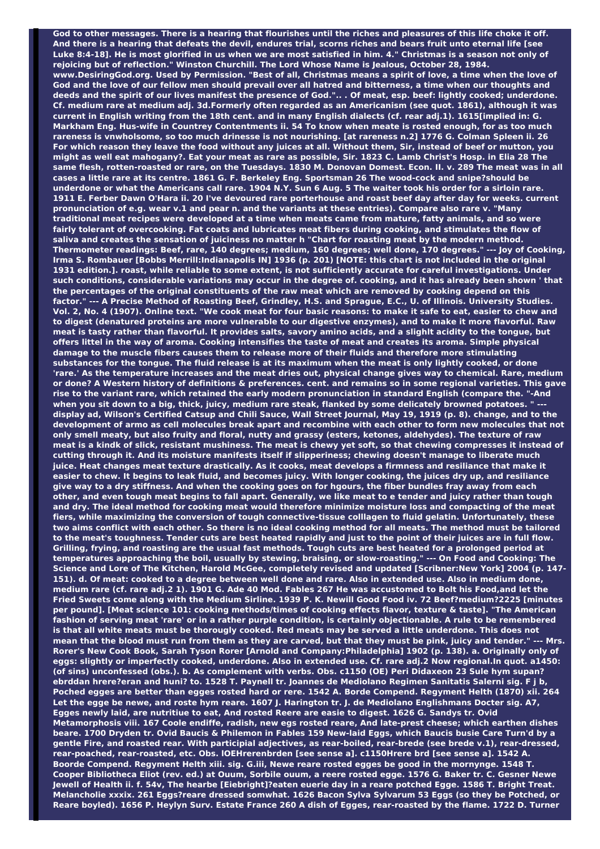God to other messages. There is a hearing that flourishes until the riches and pleasures of this life choke it off. And there is a hearing that defeats the devil, endures trial, scorns riches and bears fruit unto eternal life [see Luke 8:4-18]. He is most glorified in us when we are most satisfied in him. 4." Christmas is a season not only of **rejoicing but of reflection." Winston Churchill. The Lord Whose Name is Jealous, October 28, 1984.** www.DesiringGod.org. Used by Permission. "Best of all, Christmas means a spirit of love, a time when the love of God and the love of our fellow men should prevail over all hatred and bitterness, a time when our thoughts and deeds and the spirit of our lives manifest the presence of God.".. . Of meat, esp. beef: lightly cooked; underdone. Cf. medium rare at medium adj. 3d.Formerly often regarded as an Americanism (see quot. 1861), although it was current in English writing from the 18th cent. and in many English dialects (cf. rear adj.1). 1615[implied in: G. Markham Eng. Hus-wife in Countrey Contentments ii. 54 To know when meate is rosted enough, for as too much rareness is vnwholsome, so too much drinesse is not nourishing. [at rareness n.2] 1776 G. Colman Spleen ii. 26 For which reason they leave the food without any juices at all. Without them, Sir, instead of beef or mutton, you might as well eat mahogany?. Eat your meat as rare as possible, Sir. 1823 C. Lamb Christ's Hosp. in Elia 28 The same flesh, rotten-roasted or rare, on the Tuesdays, 1830 M, Donovan Domest, Econ, II, y, 289 The meat was in all cases a little rare at its centre. 1861 G. F. Berkeley Eng. Sportsman 26 The wood-cock and snipe?should be underdone or what the Americans call rare. 1904 N.Y. Sun 6 Aug. 5 The waiter took his order for a sirloin rare. 1911 E. Ferber Dawn O'Hara ii. 20 I've devoured rare porterhouse and roast beef day after day for weeks. current pronunciation of e.g. wear v.1 and pear n. and the variants at these entries). Compare also rare v. "Many traditional meat recipes were developed at a time when meats came from mature, fatty animals, and so were fairly tolerant of overcooking. Fat coats and lubricates meat fibers during cooking, and stimulates the flow of saliva and creates the sensation of juiciness no matter h "Chart for roasting meat by the modern method. Thermometer readings: Beef, rare, 140 degrees; medium, 160 degrees; well done, 170 degrees." --- Joy of Cooking, Irma S. Rombauer [Bobbs Merrill:Indianapolis IN] 1936 (p. 201) [NOTE: this chart is not included in the original 1931 edition.]. roast, while reliable to some extent, is not sufficiently accurate for careful investigations. Under such conditions, considerable variations may occur in the degree of. cooking, and it has already been shown 'that the percentages of the original constituents of the raw meat which are removed by cooking depend on this factor." --- A Precise Method of Roasting Beef, Grindley, H.S. and Sprague, E.C., U. of Illinois. University Studies. Vol. 2, No. 4 (1907). Online text. "We cook meat for four basic reasons: to make it safe to eat, easier to chew and to digest (denatured proteins are more vulnerable to our digestive enzymes), and to make it more flavorful. Raw meat is tasty rather than flavorful. It provides salts, savory amino acids, and a slighlt acidity to the tongue, but offers littel in the way of aroma. Cooking intensifies the taste of meat and creates its aroma. Simple physical **damage to the muscle fibers causes them to release more of their fluids and therefore more stimulating** substances for the tongue. The fluid release is at its maximum when the meat is only lightly cooked, or done 'rare.' As the temperature increases and the meat dries out, physical change gives way to chemical. Rare, medium or done? A Western history of definitions & preferences. cent. and remains so in some regional varieties. This gave rise to the variant rare, which retained the early modern pronunciation in standard English (compare the. "-And when you sit down to a big, thick, juicy, medium rare steak, flanked by some delicately browned potatoes. " display ad, Wilson's Certified Catsup and Chili Sauce, Wall Street Journal, May 19, 1919 (p. 8). change, and to the development of armo as cell molecules break apart and recombine with each other to form new molecules that not only smell meaty, but also fruity and floral, nutty and grassy (esters, ketones, aldehydes). The texture of raw meat is a kindk of slick, resistant mushiness. The meat is chewy yet soft, so that chewing compresses it instead of **cutting through it. And its moisture manifests itself if slipperiness; chewing doesn't manage to liberate much** juice. Heat changes meat texture drastically. As it cooks, meat develops a firmness and resiliance that make it easier to chew. It begins to leak fluid, and becomes juicy. With longer cooking, the juices dry up, and resiliance give way to a dry stiffness. And when the cooking goes on for hgours, the fiber bundles fray away from each other, and even tough meat begins to fall apart. Generally, we like meat to e tender and juicy rather than tough and drv. The ideal method for cooking meat would therefore minimize moisture loss and compacting of the meat **fiers, while maximizing the conversion of tough connective-tissue colllagen to fluid gelatin. Unfortunately, these** two aims conflict with each other. So there is no ideal cooking method for all meats. The method must be tailored to the meat's toughness. Tender cuts are best heated rapidly and just to the point of their juices are in full flow. Grilling, frying, and roasting are the usual fast methods. Tough cuts are best heated for a prolonged period at **temperatures approaching the boil, usually by stewing, braising, or slow-roasting." --- On Food and Cooking: The** Science and Lore of The Kitchen, Harold McGee, completely revised and updated [Scribner:New York] 2004 (p. 147-151). d. Of meat: cooked to a degree between well done and rare. Also in extended use. Also in medium done, medium rare (cf. rare adj.2 1). 1901 G. Ade 40 Mod. Fables 267 He was accustomed to Bolt his Food, and let the Fried Sweets come along with the Medium Sirline. 1939 P. K. Newill Good Food iv. 72 Beef?medium?2225 [minutes **per pound]. [Meat science 101: cooking methods/times of cooking effects flavor, texture & taste]. "The American** fashion of serving meat 'rare' or in a rather purple condition, is certainly objectionable. A rule to be remembered is that all white meats must be thorougly cooked. Red meats may be served a little underdone. This does not mean that the blood must run from them as they are carved, but that they must be pink, juicy and tender." --- Mrs. Rorer's New Cook Book, Sarah Tyson Rorer [Arnold and Company: Philadelphia] 1902 (p. 138). a. Originally only of eggs: slightly or imperfectly cooked, underdone. Also in extended use. Cf. rare adj.2 Now regional.In quot. a1450: (of sins) unconfessed (obs.). b. As complement with verbs. Obs. c1150 (OE) Peri Didaxeon 23 Sule hym supan? ebrddan hrere?eran and huni? to. 1528 T. Paynell tr. Joannes de Mediolano Regimen Sanitatis Salerni sig. F j b, Poched egges are better than egges rosted hard or rere. 1542 A. Borde Compend. Regyment Helth (1870) xii. 264 Let the egge be newe, and roste hym reare. 1607 J. Harington tr. J. de Mediolano Englishmans Docter sig. A7, Egges newly laid, are nutritiue to eat, And rosted Reere are easie to digest. 1626 G. Sandys tr. Ovid **Metamorphosis viii. 167 Coole endiffe, radish, new egs rosted reare, And late-prest cheese; which earthen dishes** beare. 1700 Dryden tr. Ovid Baucis & Philemon in Fables 159 New-laid Eggs, which Baucis busie Care Turn'd by a **gentle Fire, and roasted rear. With participial adjectives, as rear-boiled, rear-brede (see brede v.1), rear-dressed, rear-poached, rear-roasted, etc. Obs. lOEHrerenbrden [see sense a]. c1150Hrere brd [see sense a]. 1542 A.** Boorde Compend. Regyment Helth xiii. sig. G.iii, Newe reare rosted egges be good in the mornynge. 1548 T. Cooper Bibliotheca Eliot (rev. ed.) at Ouum, Sorbile ouum, a reere rosted egge. 1576 G. Baker tr. C. Gesner Newe Jewell of Health ii. f. 54v, The hearbe [Eiebright]?eaten euerie day in a reare potched Egge. 1586 T. Bright Treat. Melancholie xxxix. 261 Eggs?reare dressed somwhat. 1626 Bacon Sylva Sylvarum 53 Eggs (so they be Potched, or Reare boyled). 1656 P. Heylyn Surv. Estate France 260 A dish of Egges, rear-roasted by the flame. 1722 D. Turner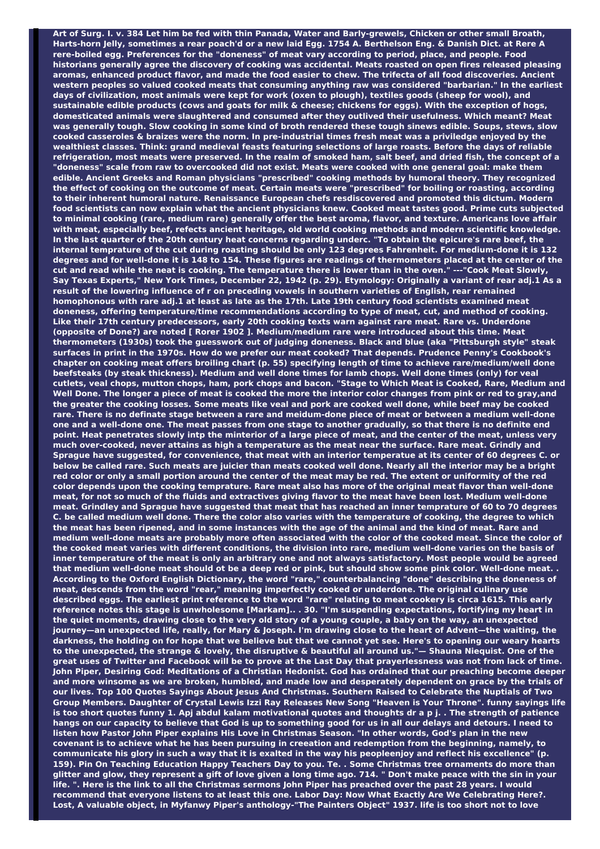Art of Surg. I. v. 384 Let him be fed with thin Panada, Water and Barly-grewels, Chicken or other small Broath, Harts-horn Jelly, sometimes a rear poach'd or a new laid Egg. 1754 A. Berthelson Eng. & Danish Dict. at Rere A **rere-boiled egg. Preferences for the "doneness" of meat vary according to period, place, and people. Food** historians generally agree the discovery of cooking was accidental. Meats roasted on open fires released pleasing aromas, enhanced product flavor, and made the food easier to chew. The trifecta of all food discoveries. Ancient **western peoples so valued cooked meats that consuming anything raw was considered "barbarian." In the earliest** days of civilization, most animals were kept for work (oxen to plough), textiles goods (sheep for wool), and sustainable edible products (cows and goats for milk & cheese; chickens for eggs). With the exception of hogs, **domesticated animals were slaughtered and consumed after they outlived their usefulness. Which meant? Meat** was generally tough. Slow cooking in some kind of broth rendered these tough sinews edible. Soups, stews, slow cooked casseroles & braizes were the norm. In pre-industrial times fresh meat was a priviledge enjoyed by the wealthiest classes. Think: grand medieval feasts featuring selections of large roasts. Before the days of reliable refrigeration, most meats were preserved. In the realm of smoked ham, salt beef, and dried fish, the concept of a "doneness" scale from raw to overcooked did not exist. Meats were cooked with one general goal: make them **edible. Ancient Greeks and Roman physicians "prescribed" cooking methods by humoral theory. They recognized** the effect of cooking on the outcome of meat. Certain meats were "prescribed" for boiling or roasting, according **to their inherent humoral nature. Renaissance European chefs resdiscovered and promoted this dictum. Modern** food scientists can now explain what the ancient physicians knew. Cooked meat tastes good. Prime cuts subjected to minimal cooking (rare, medium rare) generally offer the best aroma, flavor, and texture. Americans love affair **with meat, especially beef, refects ancient heritage, old world cooking methods and modern scientific knowledge.** In the last quarter of the 20th century heat concerns regarding underc. "To obtain the epicure's rare beef, the internal temprature of the cut during roasting should be only 123 degrees Fahrenheit. For medium-done it is 132 degrees and for well-done it is 148 to 154. These figures are readings of thermometers placed at the center of the cut and read while the neat is cooking. The temperature there is lower than in the oven." ---"Cook Meat Slowly, Say Texas Experts," New York Times, December 22, 1942 (p. 29). Etymology: Originally a variant of rear adj.1 As a **result of the lowering influence of r on preceding vowels in southern varieties of English, rear remained** homophonous with rare adj.1 at least as late as the 17th. Late 19th century food scientists examined meat **doneness, offering temperature/time recommendations according to type of meat, cut, and method of cooking. Like their 17th century predecessors, early 20th cooking texts warn against rare meat. Rare vs. Underdone (opposite of Done?) are noted [ Rorer 1902 ]. Medium/medium rare were introduced about this time. Meat thermometers (1930s) took the guesswork out of judging doneness. Black and blue (aka "Pittsburgh style" steak** surfaces in print in the 1970s. How do we prefer our meat cooked? That depends. Prudence Penny's Cookbook's chapter on cooking meat offers broiling chart (p. 55) specifying length of time to achieve rare/medium/well done beefsteaks (by steak thickness). Medium and well done times for lamb chops. Well done times (only) for veal cutlets, veal chops, mutton chops, ham, pork chops and bacon. "Stage to Which Meat is Cooked, Rare, Medium and Well Done. The longer a piece of meat is cooked the more the interior color changes from pink or red to gray,and the greater the cooking losses. Some meats like veal and pork are cooked well done, while beef may be cooked rare. There is no definate stage between a rare and meidum-done piece of meat or between a medium well-done one and a well-done one. The meat passes from one stage to another gradually, so that there is no definite end point. Heat penetrates slowly intp the minterior of a large piece of meat, and the center of the meat, unless very much over-cooked, never attains as high a temperature as the meat near the surface. Rare meat. Grindly and Sprague have suggested, for convenience, that meat with an interior temperatue at its center of 60 degrees C. or below be called rare. Such meats are juicier than meats cooked well done. Nearly all the interior may be a bright red color or only a small portion around the center of the meat may be red. The extent or uniformity of the red color depends upon the cooking temprature. Rare meat also has more of the original meat flavor than well-done meat, for not so much of the fluids and extractives giving flavor to the meat have been lost. Medium well-done meat. Grindley and Sprague have suggested that meat that has reached an inner temprature of 60 to 70 degrees C. be called medium well done. There the color also varies with the temperature of cooking, the degree to which the meat has been ripened, and in some instances with the age of the animal and the kind of meat. Rare and medium well-done meats are probably more often associated with the color of the cooked meat. Since the color of the cooked meat varies with different conditions, the division into rare, medium well-done varies on the basis of inner temperature of the meat is only an arbitrary one and not always satisfactory. Most people would be agreed that medium well-done meat should ot be a deep red or pink, but should show some pink color. Well-done meat... **According to the Oxford English Dictionary, the word "rare," counterbalancing "done" describing the doneness of meat, descends from the word "rear," meaning imperfectly cooked or underdone. The original culinary use** described eggs. The earliest print reference to the word "rare" relating to meat cookery is circa 1615. This early **reference notes this stage is unwholesome [Markam].. . 30. "I'm suspending expectations, fortifying my heart in** the quiet moments, drawing close to the very old story of a young couple, a baby on the way, an unexpected journey—an unexpected life, really, for Mary & Joseph. I'm drawing close to the heart of Advent—the waiting, the darkness, the holding on for hope that we believe but that we cannot yet see. Here's to opening our weary hearts to the unexpected, the strange & lovely, the disruptive & beautiful all around us."- Shauna Niequist. One of the great uses of Twitter and Facebook will be to prove at the Last Day that prayerlessness was not from lack of time. John Piper, Desiring God: Meditations of a Christian Hedonist. God has ordained that our preaching become deeper and more winsome as we are broken, humbled, and made low and desperately dependent on grace by the trials of our lives. Top 100 Quotes Sayings About Jesus And Christmas. Southern Raised to Celebrate the Nuptials of Two Group Members. Daughter of Crystal Lewis Izzi Ray Releases New Song "Heaven is Your Throne". funny sayings life is too short quotes funny 1. Apj abdul kalam motivational quotes and thoughts dr a p j. . The strength of patience hangs on our capacity to believe that God is up to something good for us in all our delays and detours. I need to listen how Pastor John Piper explains His Love in Christmas Season. "In other words, God's plan in the new covenant is to achieve what he has been pursuing in creeation and redemption from the beginning, namely, to communicate his glory in such a way that it is exalted in the way his peopleenjoy and reflect his excellence" (p. 159). Pin On Teaching Education Happy Teachers Day to you. Te. . Some Christmas tree ornaments do more than glitter and glow, they represent a gift of love given a long time ago. 714. " Don't make peace with the sin in your life. ". Here is the link to all the Christmas sermons John Piper has preached over the past 28 years. I would recommend that everyone listens to at least this one. Labor Day: Now What Exactly Are We Celebrating Here?. Lost, A valuable object, in Myfanwy Piper's anthology-"The Painters Object" 1937. life is too short not to love